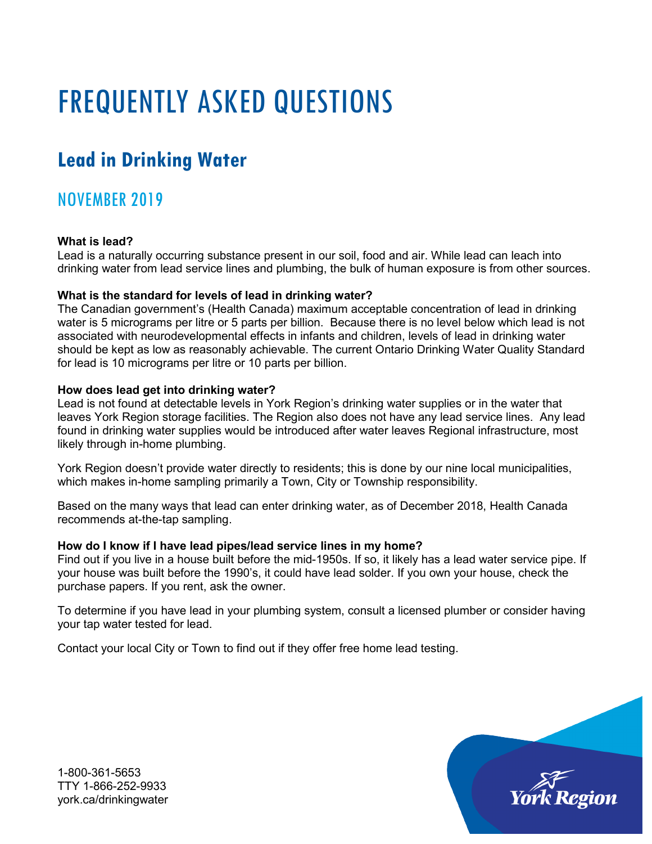# FREQUENTLY ASKED QUESTIONS

## **Lead in Drinking Water**

### NOVEMBER 2019

#### **What is lead?**

Lead is a naturally occurring substance present in our soil, food and air. While lead can leach into drinking water from lead service lines and plumbing, the bulk of human exposure is from other sources.

#### **What is the standard for levels of lead in drinking water?**

The Canadian government's (Health Canada) maximum acceptable concentration of lead in drinking water is 5 micrograms per litre or 5 parts per billion. Because there is no level below which lead is not associated with neurodevelopmental effects in infants and children, levels of lead in drinking water should be kept as low as reasonably achievable. The current Ontario Drinking Water Quality Standard for lead is 10 micrograms per litre or 10 parts per billion.

#### **How does lead get into drinking water?**

Lead is not found at detectable levels in York Region's drinking water supplies or in the water that leaves York Region storage facilities. The Region also does not have any lead service lines. Any lead found in drinking water supplies would be introduced after water leaves Regional infrastructure, most likely through in-home plumbing.

York Region doesn't provide water directly to residents; this is done by our nine local municipalities, which makes in-home sampling primarily a Town, City or Township responsibility.

Based on the many ways that lead can enter drinking water, as of December 2018, Health Canada recommends at-the-tap sampling.

#### **How do I know if I have lead pipes/lead service lines in my home?**

Find out if you live in a house built before the mid-1950s. If so, it likely has a lead water service pipe. If your house was built before the 1990's, it could have lead solder. If you own your house, check the purchase papers. If you rent, ask the owner.

To determine if you have lead in your plumbing system, consult a licensed plumber or consider having your tap water tested for lead.

Contact your local City or Town to find out if they offer [free home lead testing.](https://www.toronto.ca/services-payments/water-environment/tap-water-in-toronto/lead-drinking-water/lead-testing-for-residents/)



1-800-361-5653 TTY 1-866-252-9933 york.ca/drinkingwater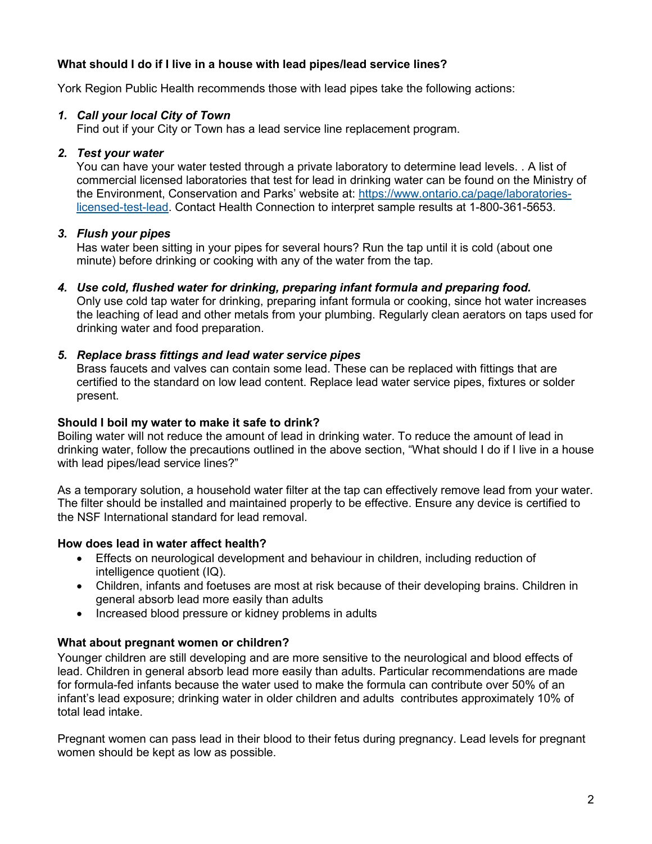#### **What should I do if I live in a house with lead pipes/lead service lines?**

York Region Public Health recommends those with lead pipes take the following actions:

#### *1. Call your local City of Town*

Find out if your City or Town has a lead service line replacement program.

#### *2. Test your water*

You can have your water tested through a private laboratory to determine lead levels. . A list of commercial licensed laboratories that test for lead in drinking water can be found on the Ministry of the Environment, Conservation and Parks' website at: [https://www.ontario.ca/page/laboratories](https://www.ontario.ca/page/laboratories-licensed-test-lead)[licensed-test-lead.](https://www.ontario.ca/page/laboratories-licensed-test-lead) Contact Health Connection to interpret sample results at 1-800-361-5653.

#### *3. Flush your pipes*

Has water been sitting in your pipes for several hours? Run the tap until it is cold (about one minute) before drinking or cooking with any of the water from the tap.

*4. Use cold, flushed water for drinking, preparing infant formula and preparing food.* Only use cold tap water for drinking, preparing infant formula or cooking, since hot water increases the leaching of lead and other metals from your plumbing. Regularly clean aerators on taps used for drinking water and food preparation.

#### *5. Replace brass fittings and lead water service pipes*

Brass faucets and valves can contain some lead. These can be replaced with fittings that are certified to the standard on low lead content. Replace lead water service pipes, fixtures or solder present.

#### **Should I boil my water to make it safe to drink?**

Boiling water will not reduce the amount of lead in drinking water. To reduce the amount of lead in drinking water, follow the precautions outlined in the above section, "What should I do if I live in a house with lead pipes/lead service lines?"

As a temporary solution, a household water filter at the tap can effectively remove lead from your water. The filter should be installed and maintained properly to be effective. Ensure any device is certified to the NSF International standard for lead removal.

#### **How does lead in water affect health?**

- Effects on neurological development and behaviour in children, including reduction of intelligence quotient (IQ).
- Children, infants and foetuses are most at risk because of their developing brains. Children in general absorb lead more easily than adults
- Increased blood pressure or kidney problems in adults

#### **What about pregnant women or children?**

Younger children are still developing and are more sensitive to the neurological and blood effects of lead. Children in general absorb lead more easily than adults. Particular recommendations are made for formula-fed infants because the water used to make the formula can contribute over 50% of an infant's lead exposure; drinking water in older children and adults contributes approximately 10% of total lead intake.

Pregnant women can pass lead in their blood to their fetus during pregnancy. Lead levels for pregnant women should be kept as low as possible.